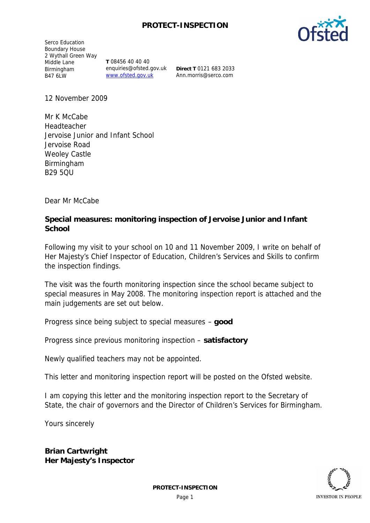## **PROTECT-INSPECTION**

Serco Education Boundary House 2 Wythall Green Way Middle Lane Birmingham B47 6LW

**T** 08456 40 40 40 enquiries@ofsted.gov.uk www.ofsted.gov.uk

**Direct T** 0121 683 2033 Ann.morris@serco.com

12 November 2009

Mr K McCabe Headteacher Jervoise Junior and Infant School Jervoise Road Weoley Castle Birmingham B29 5QU

Dear Mr McCabe

**Special measures: monitoring inspection of Jervoise Junior and Infant School**

Following my visit to your school on 10 and 11 November 2009, I write on behalf of Her Majesty's Chief Inspector of Education, Children's Services and Skills to confirm the inspection findings.

The visit was the fourth monitoring inspection since the school became subject to special measures in May 2008. The monitoring inspection report is attached and the main judgements are set out below.

Progress since being subject to special measures – **good**

Progress since previous monitoring inspection – **satisfactory**

Newly qualified teachers may not be appointed.

This letter and monitoring inspection report will be posted on the Ofsted website.

I am copying this letter and the monitoring inspection report to the Secretary of State, the chair of governors and the Director of Children's Services for Birmingham.

Yours sincerely

**Brian Cartwright Her Majesty's Inspector**

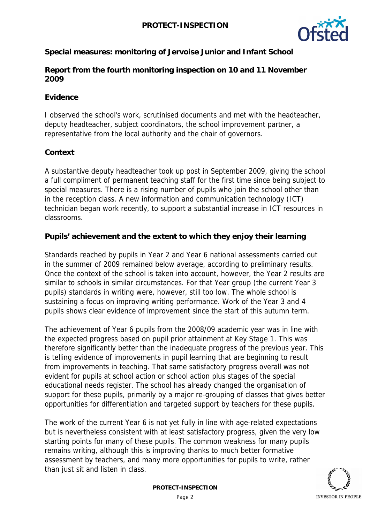

**Special measures: monitoring of Jervoise Junior and Infant School**

**Report from the fourth monitoring inspection on 10 and 11 November 2009**

### **Evidence**

I observed the school's work, scrutinised documents and met with the headteacher, deputy headteacher, subject coordinators, the school improvement partner, a representative from the local authority and the chair of governors.

#### **Context**

A substantive deputy headteacher took up post in September 2009, giving the school a full compliment of permanent teaching staff for the first time since being subject to special measures. There is a rising number of pupils who join the school other than in the reception class. A new information and communication technology (ICT) technician began work recently, to support a substantial increase in ICT resources in classrooms.

**Pupils' achievement and the extent to which they enjoy their learning**

Standards reached by pupils in Year 2 and Year 6 national assessments carried out in the summer of 2009 remained below average, according to preliminary results. Once the context of the school is taken into account, however, the Year 2 results are similar to schools in similar circumstances. For that Year group (the current Year 3 pupils) standards in writing were, however, still too low. The whole school is sustaining a focus on improving writing performance. Work of the Year 3 and 4 pupils shows clear evidence of improvement since the start of this autumn term.

The achievement of Year 6 pupils from the 2008/09 academic year was in line with the expected progress based on pupil prior attainment at Key Stage 1. This was therefore significantly better than the inadequate progress of the previous year. This is telling evidence of improvements in pupil learning that are beginning to result from improvements in teaching. That same satisfactory progress overall was not evident for pupils at school action or school action plus stages of the special educational needs register. The school has already changed the organisation of support for these pupils, primarily by a major re-grouping of classes that gives better opportunities for differentiation and targeted support by teachers for these pupils.

The work of the current Year 6 is not yet fully in line with age-related expectations but is nevertheless consistent with at least satisfactory progress, given the very low starting points for many of these pupils. The common weakness for many pupils remains writing, although this is improving thanks to much better formative assessment by teachers, and many more opportunities for pupils to write, rather than just sit and listen in class.

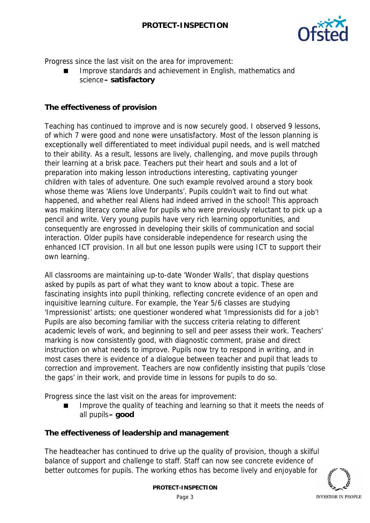

Progress since the last visit on the area for improvement:

 Improve standards and achievement in English, mathematics and science**– satisfactory**

#### **The effectiveness of provision**

Teaching has continued to improve and is now securely good. I observed 9 lessons, of which 7 were good and none were unsatisfactory. Most of the lesson planning is exceptionally well differentiated to meet individual pupil needs, and is well matched to their ability. As a result, lessons are lively, challenging, and move pupils through their learning at a brisk pace. Teachers put their heart and souls and a lot of preparation into making lesson introductions interesting, captivating younger children with tales of adventure. One such example revolved around a story book whose theme was 'Aliens love Underpants'. Pupils couldn't wait to find out what happened, and whether real Aliens had indeed arrived in the school! This approach was making literacy come alive for pupils who were previously reluctant to pick up a pencil and write. Very young pupils have very rich learning opportunities, and consequently are engrossed in developing their skills of communication and social interaction. Older pupils have considerable independence for research using the enhanced ICT provision. In all but one lesson pupils were using ICT to support their own learning.

All classrooms are maintaining up-to-date 'Wonder Walls', that display questions asked by pupils as part of what they want to know about a topic. These are fascinating insights into pupil thinking, reflecting concrete evidence of an open and inquisitive learning culture. For example, the Year 5/6 classes are studying 'Impressionist' artists; one questioner wondered what 'Impressionists did for a job'! Pupils are also becoming familiar with the success criteria relating to different academic levels of work, and beginning to sell and peer assess their work. Teachers' marking is now consistently good, with diagnostic comment, praise and direct instruction on what needs to improve. Pupils now try to respond in writing, and in most cases there is evidence of a dialogue between teacher and pupil that leads to correction and improvement. Teachers are now confidently insisting that pupils 'close the gaps' in their work, and provide time in lessons for pupils to do so.

Progress since the last visit on the areas for improvement:

 Improve the quality of teaching and learning so that it meets the needs of all pupils**– good**

**The effectiveness of leadership and management**

The headteacher has continued to drive up the quality of provision, though a skilful balance of support and challenge to staff. Staff can now see concrete evidence of better outcomes for pupils. The working ethos has become lively and enjoyable for